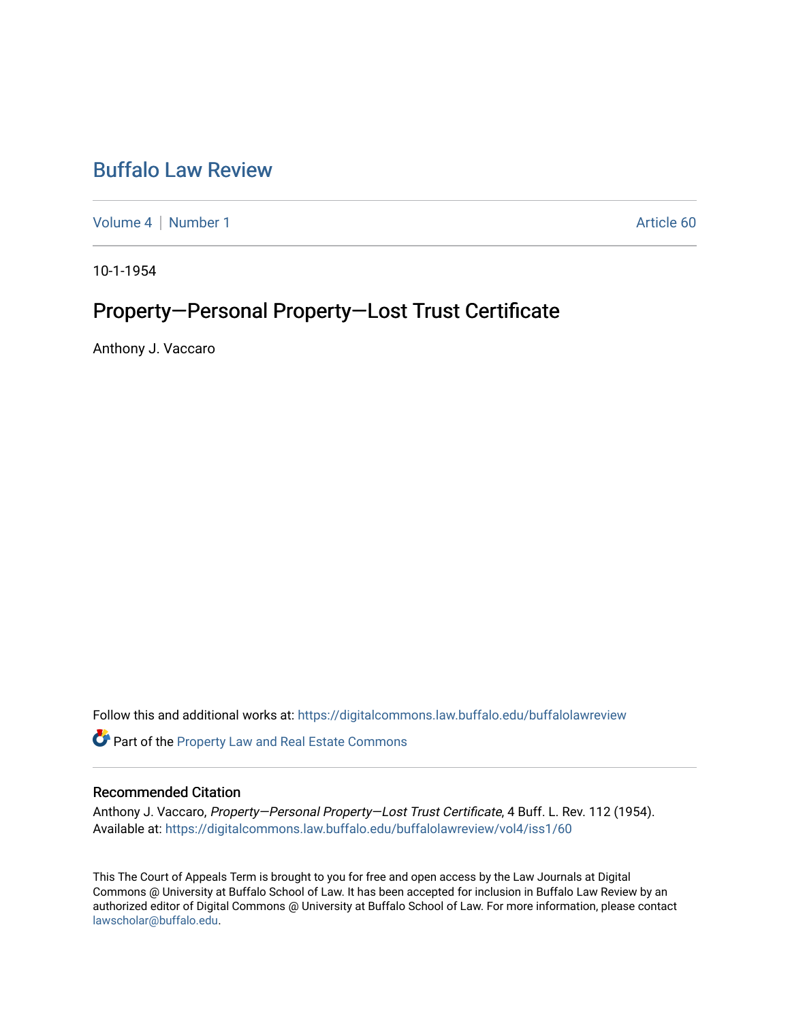## [Buffalo Law Review](https://digitalcommons.law.buffalo.edu/buffalolawreview)

[Volume 4](https://digitalcommons.law.buffalo.edu/buffalolawreview/vol4) | [Number 1](https://digitalcommons.law.buffalo.edu/buffalolawreview/vol4/iss1) Article 60

10-1-1954

# Property-Personal Property-Lost Trust Certificate

Anthony J. Vaccaro

Follow this and additional works at: [https://digitalcommons.law.buffalo.edu/buffalolawreview](https://digitalcommons.law.buffalo.edu/buffalolawreview?utm_source=digitalcommons.law.buffalo.edu%2Fbuffalolawreview%2Fvol4%2Fiss1%2F60&utm_medium=PDF&utm_campaign=PDFCoverPages) 

**Part of the Property Law and Real Estate Commons** 

## Recommended Citation

Anthony J. Vaccaro, Property—Personal Property—Lost Trust Certificate, 4 Buff. L. Rev. 112 (1954). Available at: [https://digitalcommons.law.buffalo.edu/buffalolawreview/vol4/iss1/60](https://digitalcommons.law.buffalo.edu/buffalolawreview/vol4/iss1/60?utm_source=digitalcommons.law.buffalo.edu%2Fbuffalolawreview%2Fvol4%2Fiss1%2F60&utm_medium=PDF&utm_campaign=PDFCoverPages) 

This The Court of Appeals Term is brought to you for free and open access by the Law Journals at Digital Commons @ University at Buffalo School of Law. It has been accepted for inclusion in Buffalo Law Review by an authorized editor of Digital Commons @ University at Buffalo School of Law. For more information, please contact [lawscholar@buffalo.edu](mailto:lawscholar@buffalo.edu).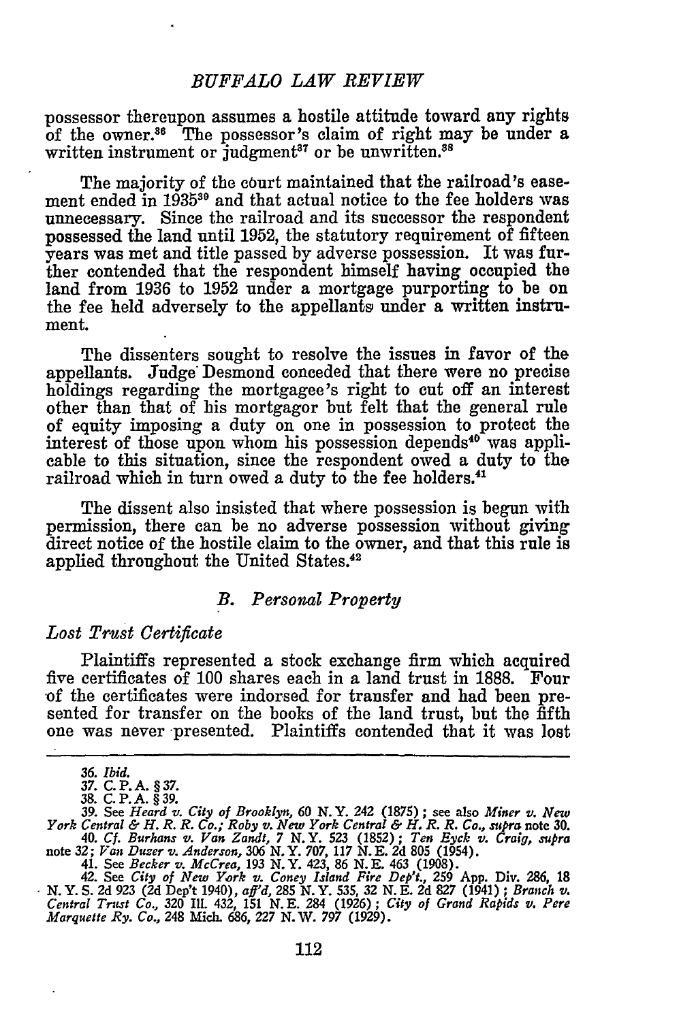possessor thereupon assumes a hostile attitude toward any rights of the owner.86 The possessor's claim of right may **be** under a written instrument or judgment<sup>37</sup> or be unwritten.<sup>38</sup>

The majority of the court maintained that the railroad's easement ended in 1935<sup>39</sup> and that actual notice to the fee holders was unnecessary. Since the railroad and its successor the respondent possessed the land until 1952, the statutory requirement of fifteen years was met and title passed by adverse possession. It was further contended that the respondent himself having occupied the land from 1936 to 1952 under a mortgage purporting to be on the fee held adversely to the appellants under a written instrument.

The dissenters sought to resolve the issues in favor of the appellants. Judge Desmond conceded that there were no precise holdings regarding the mortgagee's right to **cut** off an interest other than that of his mortgagor but felt that the general rule of equity imposing a duty on one in possession to protect the interest of those upon whom his possession depends<sup>40</sup> was applicable to this situation, since the respondent owed a duty to the railroad which in turn owed a duty to the fee holders.<sup>41</sup>

The dissent also insisted that where possession is begun with permission, there can be no adverse possession without giving direct notice of the hostile claim to the owner, and that this rule is applied throughout the United States.<sup>42</sup>

#### *B. Personal Property*

### *Lost Trust Certificate*

Plaintiffs represented a stock exchange firm which acquired five certificates of **100** shares each in a land trust in 1888. Four of the certificates were indorsed for transfer and had been presented for transfer on the books of the land trust, but the fifth one was never presented. Plaintiffs contended that it was lost

*<sup>36.</sup> Ibid.*

*<sup>37.</sup>* **C. P.A. § 37.**

**<sup>38.</sup> C. P. A. § 39. 39. See** *Heard v. City of Brooklyn,* **60** *N.Y.* **242 (1875) ; see also** *Miner v. New* York Central & H. R. R. Co.; Roby v. New York Central & H. R. R. Co., supra note 30.<br>40. Cf. Burhans v. Van Zandt, 7 N. Y. 523 (1852); Ten Eyck v. Craig, supra

**note 32;** *Van Duzer v. Anderson, 306* **N.Y. 707, 117 N.E. 2d 805 (1954). 41. See** *Becker v. McCrea,* **193 N.Y. 423, 86 N.E.** 463 **(1908).**

<sup>42.</sup> **See** *City of New York v. Coney Island Fire Dept.,* **259 App. Div. 286, 18 N.Y. S. 2d 923 (2d Dep't 1940),** *aff'd,* **285 N.Y. 535, 32 N.E. 2d 827 (1941) ;** *Branch v. Central Trust Co.,* **320 Ill. 432, 151 N.E. 284 (1926);** *City of Grand Rapids v. Pere Marquette Ry. Co.,* **248 Mich. 686, 227** *N.* **W. 797 (1929).**